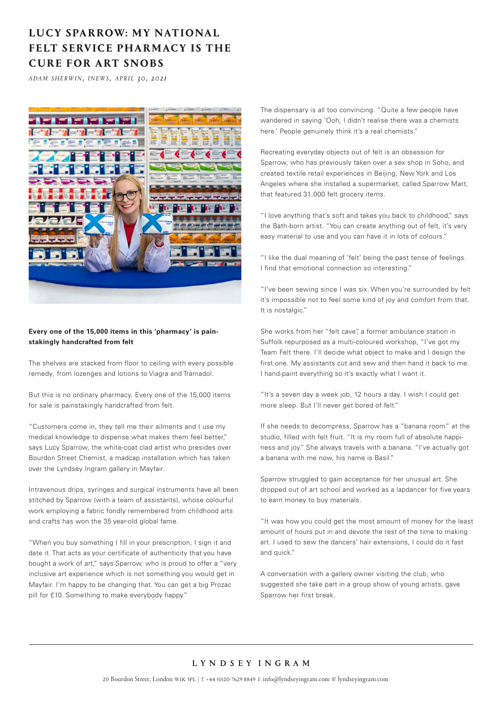## **LUCY SPARROW: MY NATIONAL FELT SERVICE PHARMACY IS THE CURE FOR ART SNOBS**

*a d a m s h e rw i n, i n e w s , a p r i l 30, 202 1*



## **Every one of the 15,000 items in this 'pharmacy' is painstakingly handcrafted from felt**

The shelves are stacked from floor to ceiling with every possible remedy, from lozenges and lotions to Viagra and Tramadol.

But this is no ordinary pharmacy. Every one of the 15,000 items for sale is painstakingly handcrafted from felt.

"Customers come in, they tell me their ailments and I use my medical knowledge to dispense what makes them feel better," says Lucy Sparrow, the white-coat clad artist who presides over Bourdon Street Chemist, a madcap installation which has taken over the Lyndsey Ingram gallery in Mayfair.

Intravenous drips, syringes and surgical instruments have all been stitched by Sparrow (with a team of assistants), whose colourful work employing a fabric fondly remembered from childhood arts and crafts has won the 35 year-old global fame.

"When you buy something I fill in your prescription, I sign it and date it. That acts as your certificate of authenticity that you have bought a work of art," says Sparrow, who is proud to offer a "very inclusive art experience which is not something you would get in Mayfair. I'm happy to be changing that. You can get a big Prozac pill for £10. Something to make everybody happy."

The dispensary is all too convincing. "Quite a few people have wandered in saying 'Ooh, I didn't realise there was a chemists here.' People genuinely think it's a real chemists."

Recreating everyday objects out of felt is an obsession for Sparrow, who has previously taken over a sex shop in Soho, and created textile retail experiences in Beijing, New York and Los Angeles where she installed a supermarket, called Sparrow Mart, that featured 31,000 felt grocery items.

"I love anything that's soft and takes you back to childhood," says the Bath-born artist. "You can create anything out of felt, it's very easy material to use and you can have it in lots of colours."

"I like the dual meaning of 'felt' being the past tense of feelings. I find that emotional connection so interesting."

"I've been sewing since I was six. When you're surrounded by felt it's impossible not to feel some kind of joy and comfort from that. It is nostalgic."

She works from her "felt cave" a former ambulance station in Suffolk repurposed as a multi-coloured workshop, "I've got my Team Felt there. I'll decide what object to make and I design the first one. My assistants cut and sew and then hand it back to me. I hand-paint everything so it's exactly what I want it.

"It's a seven day a week job, 12 hours a day. I wish I could get more sleep. But I'll never get bored of felt."

If she needs to decompress, Sparrow has a "banana room" at the studio, filled with felt fruit. "It is my room full of absolute happiness and joy." She always travels with a banana. "I've actually got a banana with me now, his name is Basil."

Sparrow struggled to gain acceptance for her unusual art. She dropped out of art school and worked as a lapdancer for five years to earn money to buy materials.

"It was how you could get the most amount of money for the least amount of hours put in and devote the rest of the time to making art. I used to sew the dancers' hair extensions, I could do it fast and quick."

A conversation with a gallery owner visiting the club, who suggested she take part in a group show of young artists, gave Sparrow her first break.

## LYNDSEY INGRAM